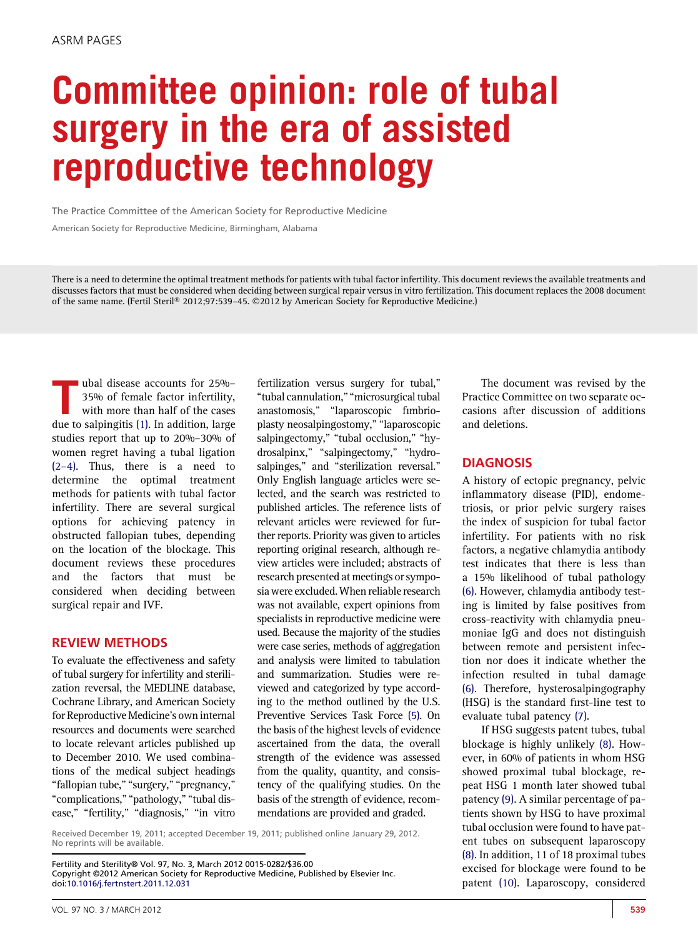# Committee opinion: role of tubal surgery in the era of assisted reproductive technology

The Practice Committee of the American Society for Reproductive Medicine American Society for Reproductive Medicine, Birmingham, Alabama

There is a need to determine the optimal treatment methods for patients with tubal factor infertility. This document reviews the available treatments and discusses factors that must be considered when deciding between surgical repair versus in vitro fertilization. This document replaces the 2008 document of the same name. (Fertil Steril® 2012;97:539-45. ©2012 by American Society for Reproductive Medicine.)

whal disease accounts for 25%–<br>35% of female factor infertility,<br>with more than half of the cases<br>due to salningitis (1) In addition large 35% of female factor infertility, with more than half of the cases due to salpingitis [\(1\)](#page-4-0). In addition, large studies report that up to 20%–30% of women regret having a tubal ligation (2–[4\).](#page-4-0) Thus, there is a need to determine the optimal treatment methods for patients with tubal factor infertility. There are several surgical options for achieving patency in obstructed fallopian tubes, depending on the location of the blockage. This document reviews these procedures and the factors that must be considered when deciding between surgical repair and IVF.

## REVIEW METHODS

To evaluate the effectiveness and safety of tubal surgery for infertility and sterilization reversal, the MEDLINE database, Cochrane Library, and American Society for Reproductive Medicine's own internal resources and documents were searched to locate relevant articles published up to December 2010. We used combinations of the medical subject headings "fallopian tube," "surgery," "pregnancy," ''complications,'' ''pathology,'' ''tubal disease," "fertility," "diagnosis," "in vitro

fertilization versus surgery for tubal,'' ''tubal cannulation,'' ''microsurgical tubal anastomosis,'' ''laparoscopic fimbrioplasty neosalpingostomy,'' ''laparoscopic salpingectomy," "tubal occlusion," "hydrosalpinx,'' ''salpingectomy,'' ''hydrosalpinges," and "sterilization reversal." Only English language articles were selected, and the search was restricted to published articles. The reference lists of relevant articles were reviewed for further reports. Priority was given to articles reporting original research, although review articles were included; abstracts of research presented at meetings or symposia were excluded.When reliable research was not available, expert opinions from specialists in reproductive medicine were used. Because the majority of the studies were case series, methods of aggregation and analysis were limited to tabulation and summarization. Studies were reviewed and categorized by type according to the method outlined by the U.S. Preventive Services Task Force [\(5\)](#page-5-0). On the basis of the highest levels of evidence ascertained from the data, the overall strength of the evidence was assessed from the quality, quantity, and consistency of the qualifying studies. On the basis of the strength of evidence, recommendations are provided and graded.

Received December 19, 2011; accepted December 19, 2011; published online January 29, 2012. No reprints will be available.

Fertility and Sterility® Vol. 97, No. 3, March 2012 0015-0282/\$36.00 Copyright ©2012 American Society for Reproductive Medicine, Published by Elsevier Inc. doi[:10.1016/j.fertnstert.2011.12.031](http://dx.doi.org/10.1016/j.fertnstert.2011.12.031)

The document was revised by the Practice Committee on two separate occasions after discussion of additions and deletions.

# **DIAGNOSIS**

A history of ectopic pregnancy, pelvic inflammatory disease (PID), endometriosis, or prior pelvic surgery raises the index of suspicion for tubal factor infertility. For patients with no risk factors, a negative chlamydia antibody test indicates that there is less than a 15% likelihood of tubal pathology [\(6\).](#page-5-0) However, chlamydia antibody testing is limited by false positives from cross-reactivity with chlamydia pneumoniae IgG and does not distinguish between remote and persistent infection nor does it indicate whether the infection resulted in tubal damage [\(6\).](#page-5-0) Therefore, hysterosalpingography (HSG) is the standard first-line test to evaluate tubal patency [\(7\)](#page-5-0).

If HSG suggests patent tubes, tubal blockage is highly unlikely [\(8\)](#page-5-0). However, in 60% of patients in whom HSG showed proximal tubal blockage, repeat HSG 1 month later showed tubal patency [\(9\)](#page-5-0). A similar percentage of patients shown by HSG to have proximal tubal occlusion were found to have patent tubes on subsequent laparoscopy [\(8\).](#page-5-0) In addition, 11 of 18 proximal tubes excised for blockage were found to be patent [\(10\).](#page-5-0) Laparoscopy, considered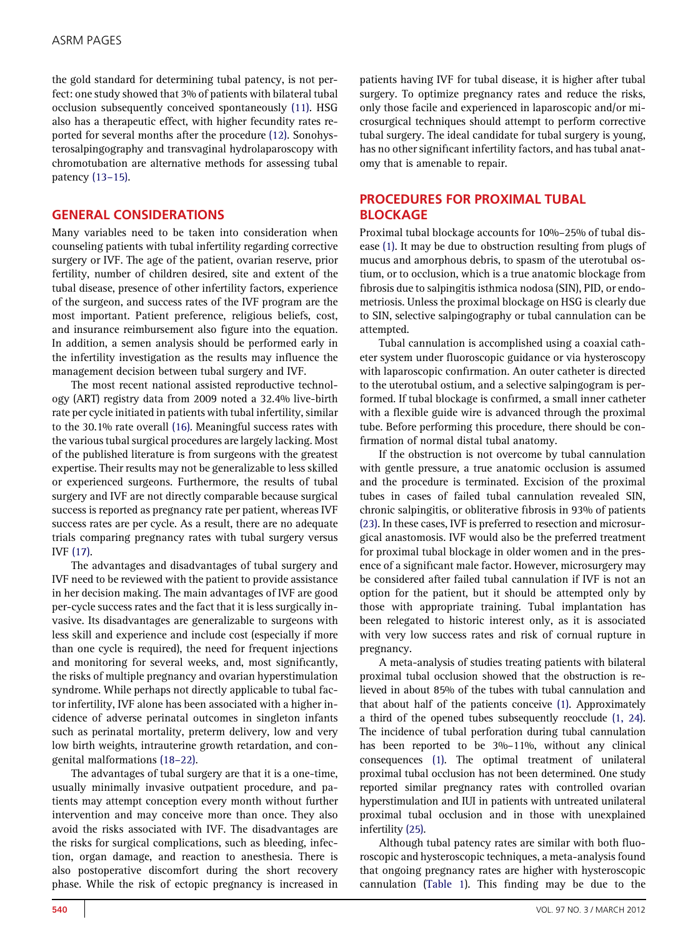the gold standard for determining tubal patency, is not perfect: one study showed that 3% of patients with bilateral tubal occlusion subsequently conceived spontaneously [\(11\)](#page-5-0). HSG also has a therapeutic effect, with higher fecundity rates reported for several months after the procedure [\(12\).](#page-5-0) Sonohysterosalpingography and transvaginal hydrolaparoscopy with chromotubation are alternative methods for assessing tubal patency (13–[15\).](#page-5-0)

## GENERAL CONSIDERATIONS

Many variables need to be taken into consideration when counseling patients with tubal infertility regarding corrective surgery or IVF. The age of the patient, ovarian reserve, prior fertility, number of children desired, site and extent of the tubal disease, presence of other infertility factors, experience of the surgeon, and success rates of the IVF program are the most important. Patient preference, religious beliefs, cost, and insurance reimbursement also figure into the equation. In addition, a semen analysis should be performed early in the infertility investigation as the results may influence the management decision between tubal surgery and IVF.

The most recent national assisted reproductive technology (ART) registry data from 2009 noted a 32.4% live-birth rate per cycle initiated in patients with tubal infertility, similar to the 30.1% rate overall [\(16\).](#page-5-0) Meaningful success rates with the various tubal surgical procedures are largely lacking. Most of the published literature is from surgeons with the greatest expertise. Their results may not be generalizable to less skilled or experienced surgeons. Furthermore, the results of tubal surgery and IVF are not directly comparable because surgical success is reported as pregnancy rate per patient, whereas IVF success rates are per cycle. As a result, there are no adequate trials comparing pregnancy rates with tubal surgery versus IVF [\(17\)](#page-5-0).

The advantages and disadvantages of tubal surgery and IVF need to be reviewed with the patient to provide assistance in her decision making. The main advantages of IVF are good per-cycle success rates and the fact that it is less surgically invasive. Its disadvantages are generalizable to surgeons with less skill and experience and include cost (especially if more than one cycle is required), the need for frequent injections and monitoring for several weeks, and, most significantly, the risks of multiple pregnancy and ovarian hyperstimulation syndrome. While perhaps not directly applicable to tubal factor infertility, IVF alone has been associated with a higher incidence of adverse perinatal outcomes in singleton infants such as perinatal mortality, preterm delivery, low and very low birth weights, intrauterine growth retardation, and congenital malformations [\(18](#page-5-0)–22).

The advantages of tubal surgery are that it is a one-time, usually minimally invasive outpatient procedure, and patients may attempt conception every month without further intervention and may conceive more than once. They also avoid the risks associated with IVF. The disadvantages are the risks for surgical complications, such as bleeding, infection, organ damage, and reaction to anesthesia. There is also postoperative discomfort during the short recovery phase. While the risk of ectopic pregnancy is increased in

patients having IVF for tubal disease, it is higher after tubal surgery. To optimize pregnancy rates and reduce the risks, only those facile and experienced in laparoscopic and/or microsurgical techniques should attempt to perform corrective tubal surgery. The ideal candidate for tubal surgery is young, has no other significant infertility factors, and has tubal anatomy that is amenable to repair.

## PROCEDURES FOR PROXIMAL TUBAL BLOCKAGE

Proximal tubal blockage accounts for 10%–25% of tubal disease [\(1\).](#page-4-0) It may be due to obstruction resulting from plugs of mucus and amorphous debris, to spasm of the uterotubal ostium, or to occlusion, which is a true anatomic blockage from fibrosis due to salpingitis isthmica nodosa (SIN), PID, or endometriosis. Unless the proximal blockage on HSG is clearly due to SIN, selective salpingography or tubal cannulation can be attempted.

Tubal cannulation is accomplished using a coaxial catheter system under fluoroscopic guidance or via hysteroscopy with laparoscopic confirmation. An outer catheter is directed to the uterotubal ostium, and a selective salpingogram is performed. If tubal blockage is confirmed, a small inner catheter with a flexible guide wire is advanced through the proximal tube. Before performing this procedure, there should be confirmation of normal distal tubal anatomy.

If the obstruction is not overcome by tubal cannulation with gentle pressure, a true anatomic occlusion is assumed and the procedure is terminated. Excision of the proximal tubes in cases of failed tubal cannulation revealed SIN, chronic salpingitis, or obliterative fibrosis in 93% of patients [\(23\).](#page-5-0) In these cases, IVF is preferred to resection and microsurgical anastomosis. IVF would also be the preferred treatment for proximal tubal blockage in older women and in the presence of a significant male factor. However, microsurgery may be considered after failed tubal cannulation if IVF is not an option for the patient, but it should be attempted only by those with appropriate training. Tubal implantation has been relegated to historic interest only, as it is associated with very low success rates and risk of cornual rupture in pregnancy.

A meta-analysis of studies treating patients with bilateral proximal tubal occlusion showed that the obstruction is relieved in about 85% of the tubes with tubal cannulation and that about half of the patients conceive [\(1\).](#page-4-0) Approximately a third of the opened tubes subsequently reocclude [\(1, 24\).](#page-4-0) The incidence of tubal perforation during tubal cannulation has been reported to be 3%–11%, without any clinical consequences [\(1\).](#page-4-0) The optimal treatment of unilateral proximal tubal occlusion has not been determined. One study reported similar pregnancy rates with controlled ovarian hyperstimulation and IUI in patients with untreated unilateral proximal tubal occlusion and in those with unexplained infertility [\(25\).](#page-5-0)

Although tubal patency rates are similar with both fluoroscopic and hysteroscopic techniques, a meta-analysis found that ongoing pregnancy rates are higher with hysteroscopic cannulation [\(Table 1\)](#page-2-0). This finding may be due to the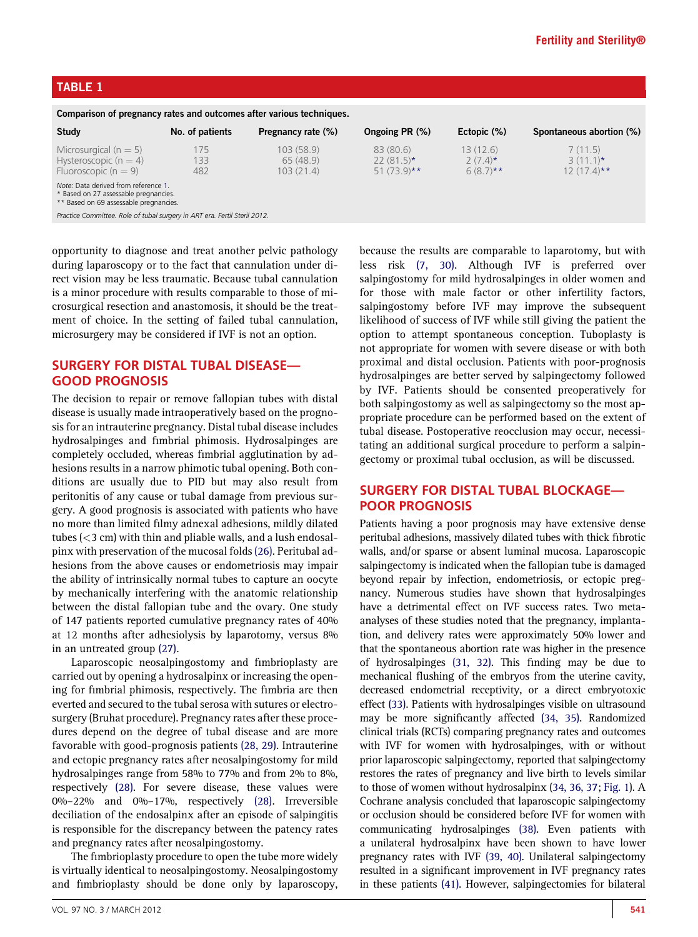# <span id="page-2-0"></span>TABLE 1

| Comparison of pregnancy rates and outcomes after various techniques.                                                    |                   |                                    |                                            |                                       |                                         |
|-------------------------------------------------------------------------------------------------------------------------|-------------------|------------------------------------|--------------------------------------------|---------------------------------------|-----------------------------------------|
| Study                                                                                                                   | No. of patients   | Pregnancy rate (%)                 | Ongoing PR (%)                             | Ectopic (%)                           | Spontaneous abortion (%)                |
| Microsurgical ( $n = 5$ )<br>Hysteroscopic ( $n = 4$ )<br>Fluoroscopic ( $n = 9$ )                                      | 175<br>133<br>482 | 103(58.9)<br>65(48.9)<br>103(21.4) | 83 (80.6)<br>$22(81.5)$ *<br>$51(73.9)$ ** | 13(12.6)<br>$2(7.4)$ *<br>$6(8.7)$ ** | 7(11.5)<br>$3(11.1)$ *<br>$12(17.4)$ ** |
| Note: Data derived from reference 1.<br>* Based on 27 assessable pregnancies.<br>** Based on 69 assessable pregnancies. |                   |                                    |                                            |                                       |                                         |
| Practice Committee. Role of tubal surgery in ART era. Fertil Steril 2012.                                               |                   |                                    |                                            |                                       |                                         |

opportunity to diagnose and treat another pelvic pathology during laparoscopy or to the fact that cannulation under direct vision may be less traumatic. Because tubal cannulation is a minor procedure with results comparable to those of microsurgical resection and anastomosis, it should be the treatment of choice. In the setting of failed tubal cannulation, microsurgery may be considered if IVF is not an option.

# SURGERY FOR DISTAL TUBAL DISEASE— GOOD PROGNOSIS

The decision to repair or remove fallopian tubes with distal disease is usually made intraoperatively based on the prognosis for an intrauterine pregnancy. Distal tubal disease includes hydrosalpinges and fimbrial phimosis. Hydrosalpinges are completely occluded, whereas fimbrial agglutination by adhesions results in a narrow phimotic tubal opening. Both conditions are usually due to PID but may also result from peritonitis of any cause or tubal damage from previous surgery. A good prognosis is associated with patients who have no more than limited filmy adnexal adhesions, mildly dilated tubes (<3 cm) with thin and pliable walls, and a lush endosalpinx with preservation of the mucosal folds[\(26\).](#page-5-0) Peritubal adhesions from the above causes or endometriosis may impair the ability of intrinsically normal tubes to capture an oocyte by mechanically interfering with the anatomic relationship between the distal fallopian tube and the ovary. One study of 147 patients reported cumulative pregnancy rates of 40% at 12 months after adhesiolysis by laparotomy, versus 8% in an untreated group [\(27\).](#page-5-0)

Laparoscopic neosalpingostomy and fimbrioplasty are carried out by opening a hydrosalpinx or increasing the opening for fimbrial phimosis, respectively. The fimbria are then everted and secured to the tubal serosa with sutures or electrosurgery (Bruhat procedure). Pregnancy rates after these procedures depend on the degree of tubal disease and are more favorable with good-prognosis patients [\(28, 29\)](#page-5-0). Intrauterine and ectopic pregnancy rates after neosalpingostomy for mild hydrosalpinges range from 58% to 77% and from 2% to 8%, respectively [\(28\).](#page-5-0) For severe disease, these values were 0%–22% and 0%–17%, respectively [\(28\).](#page-5-0) Irreversible deciliation of the endosalpinx after an episode of salpingitis is responsible for the discrepancy between the patency rates and pregnancy rates after neosalpingostomy.

The fimbrioplasty procedure to open the tube more widely is virtually identical to neosalpingostomy. Neosalpingostomy and fimbrioplasty should be done only by laparoscopy, because the results are comparable to laparotomy, but with less risk [\(7, 30\)](#page-5-0). Although IVF is preferred over salpingostomy for mild hydrosalpinges in older women and for those with male factor or other infertility factors, salpingostomy before IVF may improve the subsequent likelihood of success of IVF while still giving the patient the option to attempt spontaneous conception. Tuboplasty is not appropriate for women with severe disease or with both proximal and distal occlusion. Patients with poor-prognosis hydrosalpinges are better served by salpingectomy followed by IVF. Patients should be consented preoperatively for both salpingostomy as well as salpingectomy so the most appropriate procedure can be performed based on the extent of tubal disease. Postoperative reocclusion may occur, necessitating an additional surgical procedure to perform a salpingectomy or proximal tubal occlusion, as will be discussed.

# SURGERY FOR DISTAL TUBAL BLOCKAGE— POOR PROGNOSIS

Patients having a poor prognosis may have extensive dense peritubal adhesions, massively dilated tubes with thick fibrotic walls, and/or sparse or absent luminal mucosa. Laparoscopic salpingectomy is indicated when the fallopian tube is damaged beyond repair by infection, endometriosis, or ectopic pregnancy. Numerous studies have shown that hydrosalpinges have a detrimental effect on IVF success rates. Two metaanalyses of these studies noted that the pregnancy, implantation, and delivery rates were approximately 50% lower and that the spontaneous abortion rate was higher in the presence of hydrosalpinges [\(31, 32\)](#page-5-0). This finding may be due to mechanical flushing of the embryos from the uterine cavity, decreased endometrial receptivity, or a direct embryotoxic effect [\(33\)](#page-5-0). Patients with hydrosalpinges visible on ultrasound may be more significantly affected [\(34, 35\)](#page-5-0). Randomized clinical trials (RCTs) comparing pregnancy rates and outcomes with IVF for women with hydrosalpinges, with or without prior laparoscopic salpingectomy, reported that salpingectomy restores the rates of pregnancy and live birth to levels similar to those of women without hydrosalpinx [\(34, 36, 37;](#page-5-0) [Fig. 1\)](#page-3-0). A Cochrane analysis concluded that laparoscopic salpingectomy or occlusion should be considered before IVF for women with communicating hydrosalpinges [\(38\).](#page-5-0) Even patients with a unilateral hydrosalpinx have been shown to have lower pregnancy rates with IVF [\(39, 40\).](#page-5-0) Unilateral salpingectomy resulted in a significant improvement in IVF pregnancy rates in these patients [\(41\).](#page-5-0) However, salpingectomies for bilateral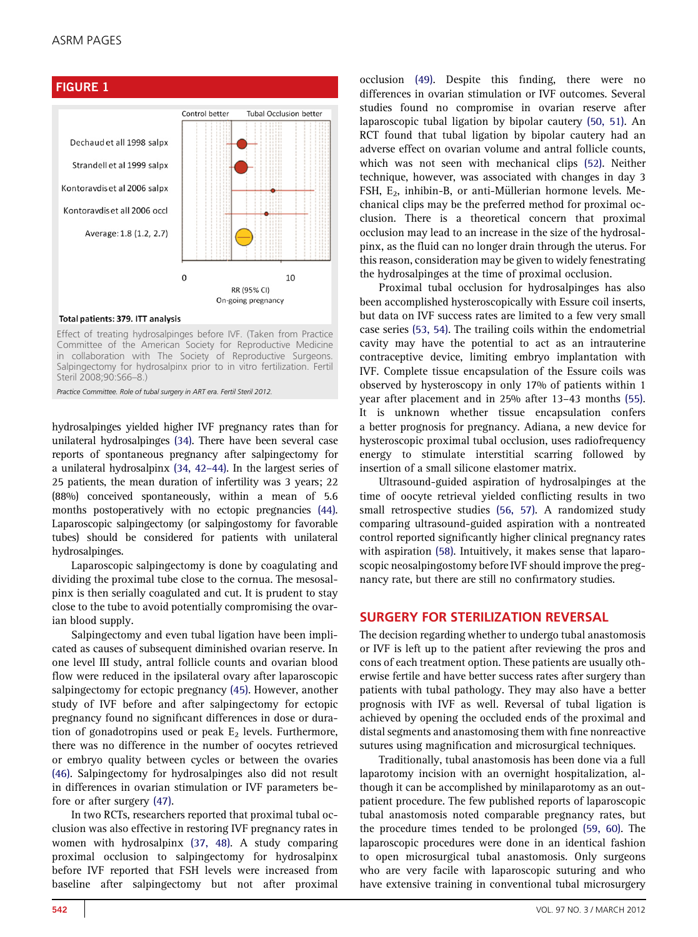<span id="page-3-0"></span>

Effect of treating hydrosalpinges before IVF. (Taken from Practice Committee of the American Society for Reproductive Medicine in collaboration with The Society of Reproductive Surgeons. Salpingectomy for hydrosalpinx prior to in vitro fertilization. Fertil Steril 2008;90:S66–8.)

Practice Committee. Role of tubal surgery in ART era. Fertil Steril 2012.

hydrosalpinges yielded higher IVF pregnancy rates than for unilateral hydrosalpinges [\(34\)](#page-5-0). There have been several case reports of spontaneous pregnancy after salpingectomy for a unilateral hydrosalpinx [\(34, 42](#page-5-0)–44). In the largest series of 25 patients, the mean duration of infertility was 3 years; 22 (88%) conceived spontaneously, within a mean of 5.6 months postoperatively with no ectopic pregnancies [\(44\).](#page-5-0) Laparoscopic salpingectomy (or salpingostomy for favorable tubes) should be considered for patients with unilateral hydrosalpinges.

Laparoscopic salpingectomy is done by coagulating and dividing the proximal tube close to the cornua. The mesosalpinx is then serially coagulated and cut. It is prudent to stay close to the tube to avoid potentially compromising the ovarian blood supply.

Salpingectomy and even tubal ligation have been implicated as causes of subsequent diminished ovarian reserve. In one level III study, antral follicle counts and ovarian blood flow were reduced in the ipsilateral ovary after laparoscopic salpingectomy for ectopic pregnancy [\(45\).](#page-5-0) However, another study of IVF before and after salpingectomy for ectopic pregnancy found no significant differences in dose or duration of gonadotropins used or peak  $E_2$  levels. Furthermore, there was no difference in the number of oocytes retrieved or embryo quality between cycles or between the ovaries [\(46\).](#page-5-0) Salpingectomy for hydrosalpinges also did not result in differences in ovarian stimulation or IVF parameters before or after surgery [\(47\)](#page-6-0).

In two RCTs, researchers reported that proximal tubal occlusion was also effective in restoring IVF pregnancy rates in women with hydrosalpinx [\(37, 48\).](#page-5-0) A study comparing proximal occlusion to salpingectomy for hydrosalpinx before IVF reported that FSH levels were increased from baseline after salpingectomy but not after proximal

occlusion [\(49\)](#page-6-0). Despite this finding, there were no differences in ovarian stimulation or IVF outcomes. Several studies found no compromise in ovarian reserve after laparoscopic tubal ligation by bipolar cautery [\(50, 51\)](#page-6-0). An RCT found that tubal ligation by bipolar cautery had an adverse effect on ovarian volume and antral follicle counts, which was not seen with mechanical clips [\(52\)](#page-6-0). Neither technique, however, was associated with changes in day 3 FSH,  $E_2$ , inhibin-B, or anti-Müllerian hormone levels. Mechanical clips may be the preferred method for proximal occlusion. There is a theoretical concern that proximal occlusion may lead to an increase in the size of the hydrosalpinx, as the fluid can no longer drain through the uterus. For this reason, consideration may be given to widely fenestrating the hydrosalpinges at the time of proximal occlusion.

Proximal tubal occlusion for hydrosalpinges has also been accomplished hysteroscopically with Essure coil inserts, but data on IVF success rates are limited to a few very small case series [\(53, 54\).](#page-6-0) The trailing coils within the endometrial cavity may have the potential to act as an intrauterine contraceptive device, limiting embryo implantation with IVF. Complete tissue encapsulation of the Essure coils was observed by hysteroscopy in only 17% of patients within 1 year after placement and in 25% after 13–43 months [\(55\).](#page-6-0) It is unknown whether tissue encapsulation confers a better prognosis for pregnancy. Adiana, a new device for hysteroscopic proximal tubal occlusion, uses radiofrequency energy to stimulate interstitial scarring followed by insertion of a small silicone elastomer matrix.

Ultrasound-guided aspiration of hydrosalpinges at the time of oocyte retrieval yielded conflicting results in two small retrospective studies [\(56, 57\).](#page-6-0) A randomized study comparing ultrasound-guided aspiration with a nontreated control reported significantly higher clinical pregnancy rates with aspiration [\(58\)](#page-6-0). Intuitively, it makes sense that laparoscopic neosalpingostomy before IVF should improve the pregnancy rate, but there are still no confirmatory studies.

#### SURGERY FOR STERILIZATION REVERSAL

The decision regarding whether to undergo tubal anastomosis or IVF is left up to the patient after reviewing the pros and cons of each treatment option. These patients are usually otherwise fertile and have better success rates after surgery than patients with tubal pathology. They may also have a better prognosis with IVF as well. Reversal of tubal ligation is achieved by opening the occluded ends of the proximal and distal segments and anastomosing them with fine nonreactive sutures using magnification and microsurgical techniques.

Traditionally, tubal anastomosis has been done via a full laparotomy incision with an overnight hospitalization, although it can be accomplished by minilaparotomy as an outpatient procedure. The few published reports of laparoscopic tubal anastomosis noted comparable pregnancy rates, but the procedure times tended to be prolonged [\(59, 60\)](#page-6-0). The laparoscopic procedures were done in an identical fashion to open microsurgical tubal anastomosis. Only surgeons who are very facile with laparoscopic suturing and who have extensive training in conventional tubal microsurgery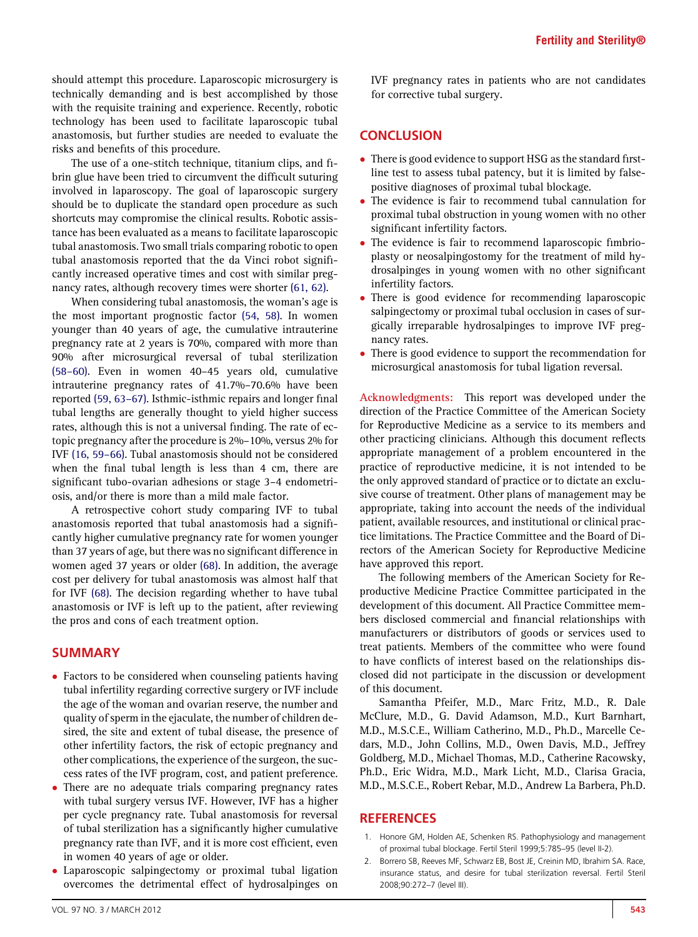<span id="page-4-0"></span>should attempt this procedure. Laparoscopic microsurgery is technically demanding and is best accomplished by those with the requisite training and experience. Recently, robotic technology has been used to facilitate laparoscopic tubal anastomosis, but further studies are needed to evaluate the risks and benefits of this procedure.

The use of a one-stitch technique, titanium clips, and fibrin glue have been tried to circumvent the difficult suturing involved in laparoscopy. The goal of laparoscopic surgery should be to duplicate the standard open procedure as such shortcuts may compromise the clinical results. Robotic assistance has been evaluated as a means to facilitate laparoscopic tubal anastomosis. Two small trials comparing robotic to open tubal anastomosis reported that the da Vinci robot significantly increased operative times and cost with similar pregnancy rates, although recovery times were shorter [\(61, 62\)](#page-6-0).

When considering tubal anastomosis, the woman's age is the most important prognostic factor [\(54, 58\)](#page-6-0). In women younger than 40 years of age, the cumulative intrauterine pregnancy rate at 2 years is 70%, compared with more than 90% after microsurgical reversal of tubal sterilization [\(58](#page-6-0)–60). Even in women 40–45 years old, cumulative intrauterine pregnancy rates of 41.7%–70.6% have been reported [\(59, 63](#page-6-0)–67). Isthmic-isthmic repairs and longer final tubal lengths are generally thought to yield higher success rates, although this is not a universal finding. The rate of ectopic pregnancy after the procedure is 2%–10%, versus 2% for IVF [\(16, 59](#page-5-0)–66). Tubal anastomosis should not be considered when the final tubal length is less than 4 cm, there are significant tubo-ovarian adhesions or stage 3–4 endometriosis, and/or there is more than a mild male factor.

A retrospective cohort study comparing IVF to tubal anastomosis reported that tubal anastomosis had a significantly higher cumulative pregnancy rate for women younger than 37 years of age, but there was no significant difference in women aged 37 years or older [\(68\)](#page-6-0). In addition, the average cost per delivery for tubal anastomosis was almost half that for IVF [\(68\)](#page-6-0). The decision regarding whether to have tubal anastomosis or IVF is left up to the patient, after reviewing the pros and cons of each treatment option.

#### SUMMARY

- Factors to be considered when counseling patients having tubal infertility regarding corrective surgery or IVF include the age of the woman and ovarian reserve, the number and quality of sperm in the ejaculate, the number of children desired, the site and extent of tubal disease, the presence of other infertility factors, the risk of ectopic pregnancy and other complications, the experience of the surgeon, the success rates of the IVF program, cost, and patient preference.
- $\bullet$  There are no adequate trials comparing pregnancy rates with tubal surgery versus IVF. However, IVF has a higher per cycle pregnancy rate. Tubal anastomosis for reversal of tubal sterilization has a significantly higher cumulative pregnancy rate than IVF, and it is more cost efficient, even in women 40 years of age or older.
- $\bullet$  Laparoscopic salpingectomy or proximal tubal ligation overcomes the detrimental effect of hydrosalpinges on

IVF pregnancy rates in patients who are not candidates for corrective tubal surgery.

# **CONCLUSION**

- There is good evidence to support HSG as the standard firstline test to assess tubal patency, but it is limited by falsepositive diagnoses of proximal tubal blockage.
- The evidence is fair to recommend tubal cannulation for proximal tubal obstruction in young women with no other significant infertility factors.
- The evidence is fair to recommend laparoscopic fimbrioplasty or neosalpingostomy for the treatment of mild hydrosalpinges in young women with no other significant infertility factors.
- There is good evidence for recommending laparoscopic salpingectomy or proximal tubal occlusion in cases of surgically irreparable hydrosalpinges to improve IVF pregnancy rates.
- There is good evidence to support the recommendation for microsurgical anastomosis for tubal ligation reversal.

Acknowledgments: This report was developed under the direction of the Practice Committee of the American Society for Reproductive Medicine as a service to its members and other practicing clinicians. Although this document reflects appropriate management of a problem encountered in the practice of reproductive medicine, it is not intended to be the only approved standard of practice or to dictate an exclusive course of treatment. Other plans of management may be appropriate, taking into account the needs of the individual patient, available resources, and institutional or clinical practice limitations. The Practice Committee and the Board of Directors of the American Society for Reproductive Medicine have approved this report.

The following members of the American Society for Reproductive Medicine Practice Committee participated in the development of this document. All Practice Committee members disclosed commercial and financial relationships with manufacturers or distributors of goods or services used to treat patients. Members of the committee who were found to have conflicts of interest based on the relationships disclosed did not participate in the discussion or development of this document.

Samantha Pfeifer, M.D., Marc Fritz, M.D., R. Dale McClure, M.D., G. David Adamson, M.D., Kurt Barnhart, M.D., M.S.C.E., William Catherino, M.D., Ph.D., Marcelle Cedars, M.D., John Collins, M.D., Owen Davis, M.D., Jeffrey Goldberg, M.D., Michael Thomas, M.D., Catherine Racowsky, Ph.D., Eric Widra, M.D., Mark Licht, M.D., Clarisa Gracia, M.D., M.S.C.E., Robert Rebar, M.D., Andrew La Barbera, Ph.D.

#### **REFERENCES**

- 1. Honore GM, Holden AE, Schenken RS. Pathophysiology and management of proximal tubal blockage. Fertil Steril 1999;5:785–95 (level II-2).
- 2. Borrero SB, Reeves MF, Schwarz EB, Bost JE, Creinin MD, Ibrahim SA. Race, insurance status, and desire for tubal sterilization reversal. Fertil Steril 2008;90:272–7 (level III).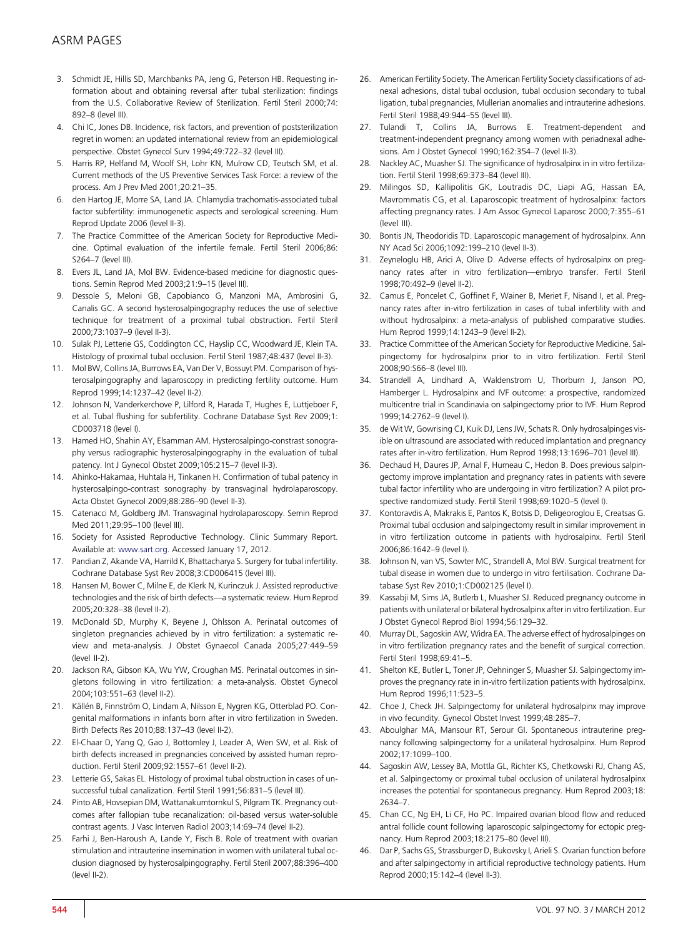- <span id="page-5-0"></span>3. Schmidt JE, Hillis SD, Marchbanks PA, Jeng G, Peterson HB. Requesting information about and obtaining reversal after tubal sterilization: findings from the U.S. Collaborative Review of Sterilization. Fertil Steril 2000;74: 892–8 (level III).
- 4. Chi IC, Jones DB. Incidence, risk factors, and prevention of poststerilization regret in women: an updated international review from an epidemiological perspective. Obstet Gynecol Surv 1994;49:722–32 (level III).
- 5. Harris RP, Helfand M, Woolf SH, Lohr KN, Mulrow CD, Teutsch SM, et al. Current methods of the US Preventive Services Task Force: a review of the process. Am J Prev Med 2001;20:21–35.
- 6. den Hartog JE, Morre SA, Land JA. Chlamydia trachomatis-associated tubal factor subfertility: immunogenetic aspects and serological screening. Hum Reprod Update 2006 (level II-3).
- 7. The Practice Committee of the American Society for Reproductive Medicine. Optimal evaluation of the infertile female. Fertil Steril 2006;86: S264–7 (level III).
- 8. Evers JL, Land JA, Mol BW. Evidence-based medicine for diagnostic questions. Semin Reprod Med 2003;21:9–15 (level III).
- 9. Dessole S, Meloni GB, Capobianco G, Manzoni MA, Ambrosini G, Canalis GC. A second hysterosalpingography reduces the use of selective technique for treatment of a proximal tubal obstruction. Fertil Steril 2000;73:1037–9 (level II-3).
- 10. Sulak PJ, Letterie GS, Coddington CC, Hayslip CC, Woodward JE, Klein TA. Histology of proximal tubal occlusion. Fertil Steril 1987;48:437 (level II-3).
- 11. Mol BW, Collins JA, Burrows EA, Van Der V, Bossuyt PM. Comparison of hysterosalpingography and laparoscopy in predicting fertility outcome. Hum Reprod 1999;14:1237–42 (level II-2).
- 12. Johnson N, Vanderkerchove P, Lilford R, Harada T, Hughes E, Luttjeboer F, et al. Tubal flushing for subfertility. Cochrane Database Syst Rev 2009;1: CD003718 (level I).
- 13. Hamed HO, Shahin AY, Elsamman AM. Hysterosalpingo-constrast sonography versus radiographic hysterosalpingography in the evaluation of tubal patency. Int J Gynecol Obstet 2009;105:215–7 (level II-3).
- 14. Ahinko-Hakamaa, Huhtala H, Tinkanen H. Confirmation of tubal patency in hysterosalpingo-contrast sonography by transvaginal hydrolaparoscopy. Acta Obstet Gynecol 2009;88:286–90 (level II-3).
- 15. Catenacci M, Goldberg JM. Transvaginal hydrolaparoscopy. Semin Reprod Med 2011;29:95–100 (level III).
- 16. Society for Assisted Reproductive Technology. Clinic Summary Report. Available at: [www.sart.org](http://www.sart.org). Accessed January 17, 2012.
- 17. Pandian Z, Akande VA, Harrild K, Bhattacharya S. Surgery for tubal infertility. Cochrane Database Syst Rev 2008;3:CD006415 (level III).
- 18. Hansen M, Bower C, Milne E, de Klerk N, Kurinczuk J. Assisted reproductive technologies and the risk of birth defects—a systematic review. Hum Reprod 2005;20:328–38 (level II-2).
- 19. McDonald SD, Murphy K, Beyene J, Ohlsson A. Perinatal outcomes of singleton pregnancies achieved by in vitro fertilization: a systematic review and meta-analysis. J Obstet Gynaecol Canada 2005;27:449–59 (level II-2).
- 20. Jackson RA, Gibson KA, Wu YW, Croughan MS. Perinatal outcomes in singletons following in vitro fertilization: a meta-analysis. Obstet Gynecol 2004;103:551–63 (level II-2).
- 21. Källén B, Finnström O, Lindam A, Nilsson E, Nygren KG, Otterblad PO. Congenital malformations in infants born after in vitro fertilization in Sweden. Birth Defects Res 2010;88:137–43 (level II-2).
- 22. El-Chaar D, Yang Q, Gao J, Bottomley J, Leader A, Wen SW, et al. Risk of birth defects increased in pregnancies conceived by assisted human reproduction. Fertil Steril 2009;92:1557–61 (level II-2).
- 23. Letterie GS, Sakas EL. Histology of proximal tubal obstruction in cases of unsuccessful tubal canalization. Fertil Steril 1991;56:831–5 (level III).
- 24. Pinto AB, Hovsepian DM, Wattanakumtornkul S, Pilgram TK. Pregnancy outcomes after fallopian tube recanalization: oil-based versus water-soluble contrast agents. J Vasc Interven Radiol 2003;14:69–74 (level II-2).
- 25. Farhi J, Ben-Haroush A, Lande Y, Fisch B. Role of treatment with ovarian stimulation and intrauterine insemination in women with unilateral tubal occlusion diagnosed by hysterosalpingography. Fertil Steril 2007;88:396–400 (level II-2).
- 26. American Fertility Society. The American Fertility Society classifications of adnexal adhesions, distal tubal occlusion, tubal occlusion secondary to tubal ligation, tubal pregnancies, Mullerian anomalies and intrauterine adhesions. Fertil Steril 1988;49:944–55 (level III).
- 27. Tulandi T, Collins JA, Burrows E. Treatment-dependent and treatment-independent pregnancy among women with periadnexal adhesions. Am J Obstet Gynecol 1990;162:354–7 (level II-3).
- 28. Nackley AC, Muasher SJ. The significance of hydrosalpinx in in vitro fertilization. Fertil Steril 1998;69:373–84 (level III).
- 29. Milingos SD, Kallipolitis GK, Loutradis DC, Liapi AG, Hassan EA, Mavrommatis CG, et al. Laparoscopic treatment of hydrosalpinx: factors affecting pregnancy rates. J Am Assoc Gynecol Laparosc 2000;7:355–61 (level III).
- 30. Bontis JN, Theodoridis TD. Laparoscopic management of hydrosalpinx. Ann NY Acad Sci 2006;1092:199–210 (level II-3).
- 31. Zeyneloglu HB, Arici A, Olive D. Adverse effects of hydrosalpinx on pregnancy rates after in vitro fertilization—embryo transfer. Fertil Steril 1998;70:492–9 (level II-2).
- 32. Camus E, Poncelet C, Goffinet F, Wainer B, Meriet F, Nisand I, et al. Pregnancy rates after in-vitro fertilization in cases of tubal infertility with and without hydrosalpinx: a meta-analysis of published comparative studies. Hum Reprod 1999;14:1243–9 (level II-2).
- 33. Practice Committee of the American Society for Reproductive Medicine. Salpingectomy for hydrosalpinx prior to in vitro fertilization. Fertil Steril 2008;90:S66–8 (level III).
- 34. Strandell A, Lindhard A, Waldenstrom U, Thorburn J, Janson PO, Hamberger L. Hydrosalpinx and IVF outcome: a prospective, randomized multicentre trial in Scandinavia on salpingectomy prior to IVF. Hum Reprod 1999;14:2762–9 (level I).
- 35. de Wit W, Gowrising CJ, Kuik DJ, Lens JW, Schats R. Only hydrosalpinges visible on ultrasound are associated with reduced implantation and pregnancy rates after in-vitro fertilization. Hum Reprod 1998;13:1696–701 (level III).
- 36. Dechaud H, Daures JP, Arnal F, Humeau C, Hedon B. Does previous salpingectomy improve implantation and pregnancy rates in patients with severe tubal factor infertility who are undergoing in vitro fertilization? A pilot prospective randomized study. Fertil Steril 1998;69:1020–5 (level I).
- 37. Kontoravdis A, Makrakis E, Pantos K, Botsis D, Deligeoroglou E, Creatsas G. Proximal tubal occlusion and salpingectomy result in similar improvement in in vitro fertilization outcome in patients with hydrosalpinx. Fertil Steril 2006;86:1642–9 (level I).
- 38. Johnson N, van VS, Sowter MC, Strandell A, Mol BW. Surgical treatment for tubal disease in women due to undergo in vitro fertilisation. Cochrane Database Syst Rev 2010;1:CD002125 (level I).
- 39. Kassabji M, Sims JA, Butlerb L, Muasher SJ. Reduced pregnancy outcome in patients with unilateral or bilateral hydrosalpinx after in vitro fertilization. Eur J Obstet Gynecol Reprod Biol 1994;56:129–32.
- 40. Murray DL, Sagoskin AW, Widra EA. The adverse effect of hydrosalpinges on in vitro fertilization pregnancy rates and the benefit of surgical correction. Fertil Steril 1998;69:41–5.
- 41. Shelton KE, Butler L, Toner JP, Oehninger S, Muasher SJ. Salpingectomy improves the pregnancy rate in in-vitro fertilization patients with hydrosalpinx. Hum Reprod 1996;11:523–5.
- 42. Choe J, Check JH. Salpingectomy for unilateral hydrosalpinx may improve in vivo fecundity. Gynecol Obstet Invest 1999;48:285–7.
- 43. Aboulghar MA, Mansour RT, Serour GI. Spontaneous intrauterine pregnancy following salpingectomy for a unilateral hydrosalpinx. Hum Reprod 2002;17:1099–100.
- 44. Sagoskin AW, Lessey BA, Mottla GL, Richter KS, Chetkowski RJ, Chang AS, et al. Salpingectomy or proximal tubal occlusion of unilateral hydrosalpinx increases the potential for spontaneous pregnancy. Hum Reprod 2003;18: 2634–7.
- 45. Chan CC, Ng EH, Li CF, Ho PC. Impaired ovarian blood flow and reduced antral follicle count following laparoscopic salpingectomy for ectopic pregnancy. Hum Reprod 2003;18:2175–80 (level III).
- 46. Dar P, Sachs GS, Strassburger D, Bukovsky I, Arieli S. Ovarian function before and after salpingectomy in artificial reproductive technology patients. Hum Reprod 2000;15:142–4 (level II-3).